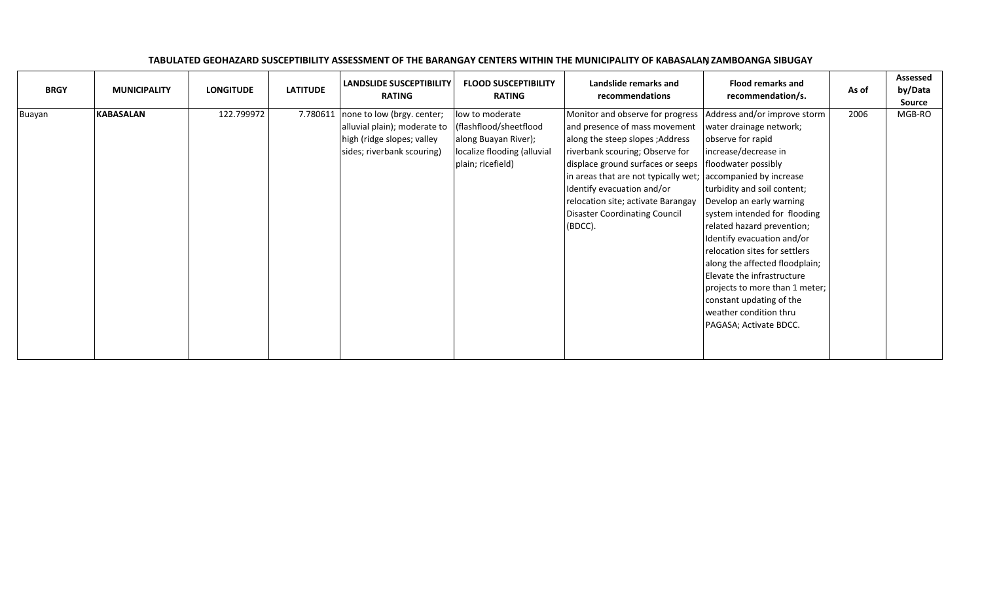| <b>BRGY</b> | <b>MUNICIPALITY</b> | <b>LONGITUDE</b> | <b>LATITUDE</b> | <b>LANDSLIDE SUSCEPTIBILITY</b><br><b>RATING</b>                                                                       | <b>FLOOD SUSCEPTIBILITY</b><br><b>RATING</b>                                                                          | Landslide remarks and<br>recommendations                                                                                                                                                                                                                                                                                             | <b>Flood remarks and</b><br>recommendation/s.                                                                                                                                                                                                                                                                                                                                                                                                                                                                                    | As of | Assessed<br>by/Data<br><b>Source</b> |
|-------------|---------------------|------------------|-----------------|------------------------------------------------------------------------------------------------------------------------|-----------------------------------------------------------------------------------------------------------------------|--------------------------------------------------------------------------------------------------------------------------------------------------------------------------------------------------------------------------------------------------------------------------------------------------------------------------------------|----------------------------------------------------------------------------------------------------------------------------------------------------------------------------------------------------------------------------------------------------------------------------------------------------------------------------------------------------------------------------------------------------------------------------------------------------------------------------------------------------------------------------------|-------|--------------------------------------|
| Buayan      | <b>KABASALAN</b>    | 122.799972       | 7.780611        | none to low (brgy. center;<br>alluvial plain); moderate to<br>high (ridge slopes; valley<br>sides; riverbank scouring) | low to moderate<br>(flashflood/sheetflood<br>along Buayan River);<br>localize flooding (alluvial<br>plain; ricefield) | Monitor and observe for progress<br>and presence of mass movement<br>along the steep slopes; Address<br>riverbank scouring; Observe for<br>displace ground surfaces or seeps<br>in areas that are not typically wet;<br>Identify evacuation and/or<br>relocation site; activate Barangay<br>Disaster Coordinating Council<br>(BDCC). | Address and/or improve storm<br>water drainage network;<br>observe for rapid<br>increase/decrease in<br>floodwater possibly<br>accompanied by increase<br>turbidity and soil content;<br>Develop an early warning<br>system intended for flooding<br>related hazard prevention;<br>Identify evacuation and/or<br>relocation sites for settlers<br>along the affected floodplain;<br>Elevate the infrastructure<br>projects to more than 1 meter;<br>constant updating of the<br>weather condition thru<br>PAGASA; Activate BDCC. | 2006  | MGB-RO                               |

## TABULATED GEOHAZARD SUSCEPTIBILITY ASSESSMENT OF THE BARANGAY CENTERS WITHIN THE MUNICIPALITY OF KABASALAN, ZAMBOANGA SIBUGAY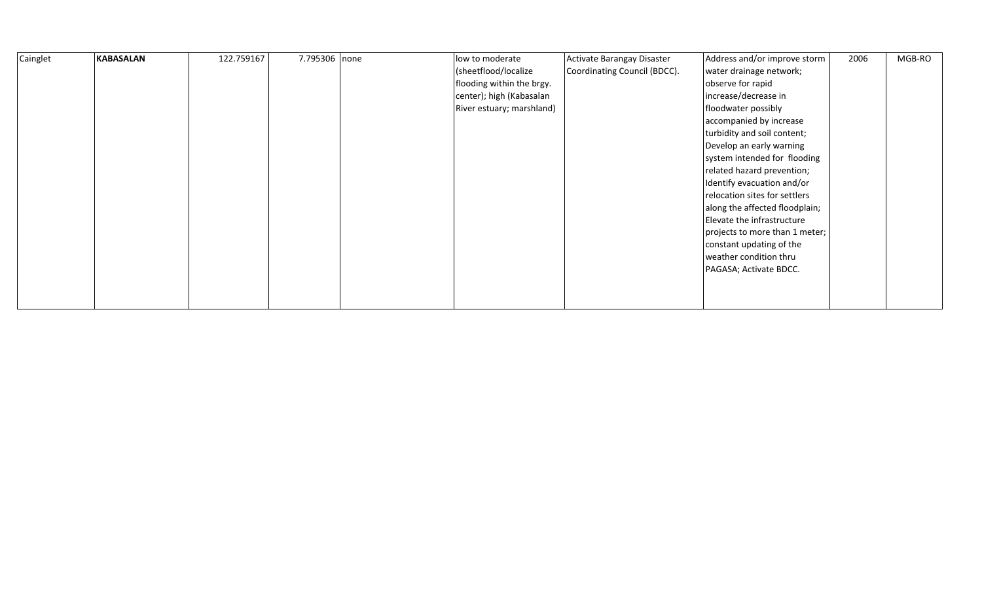| Cainglet | <b>KABASALAN</b> | 122.759167 | 7.795306 none | low to moderate           | Activate Barangay Disaster   | Address and/or improve storm   | 2006 | MGB-RO |
|----------|------------------|------------|---------------|---------------------------|------------------------------|--------------------------------|------|--------|
|          |                  |            |               | (sheetflood/localize      | Coordinating Council (BDCC). | water drainage network;        |      |        |
|          |                  |            |               | flooding within the brgy. |                              | observe for rapid              |      |        |
|          |                  |            |               | center); high (Kabasalan  |                              | increase/decrease in           |      |        |
|          |                  |            |               | River estuary; marshland) |                              | floodwater possibly            |      |        |
|          |                  |            |               |                           |                              | accompanied by increase        |      |        |
|          |                  |            |               |                           |                              | turbidity and soil content;    |      |        |
|          |                  |            |               |                           |                              | Develop an early warning       |      |        |
|          |                  |            |               |                           |                              | system intended for flooding   |      |        |
|          |                  |            |               |                           |                              | related hazard prevention;     |      |        |
|          |                  |            |               |                           |                              | Identify evacuation and/or     |      |        |
|          |                  |            |               |                           |                              | relocation sites for settlers  |      |        |
|          |                  |            |               |                           |                              | along the affected floodplain; |      |        |
|          |                  |            |               |                           |                              | Elevate the infrastructure     |      |        |
|          |                  |            |               |                           |                              | projects to more than 1 meter; |      |        |
|          |                  |            |               |                           |                              | constant updating of the       |      |        |
|          |                  |            |               |                           |                              | weather condition thru         |      |        |
|          |                  |            |               |                           |                              | PAGASA; Activate BDCC.         |      |        |
|          |                  |            |               |                           |                              |                                |      |        |
|          |                  |            |               |                           |                              |                                |      |        |
|          |                  |            |               |                           |                              |                                |      |        |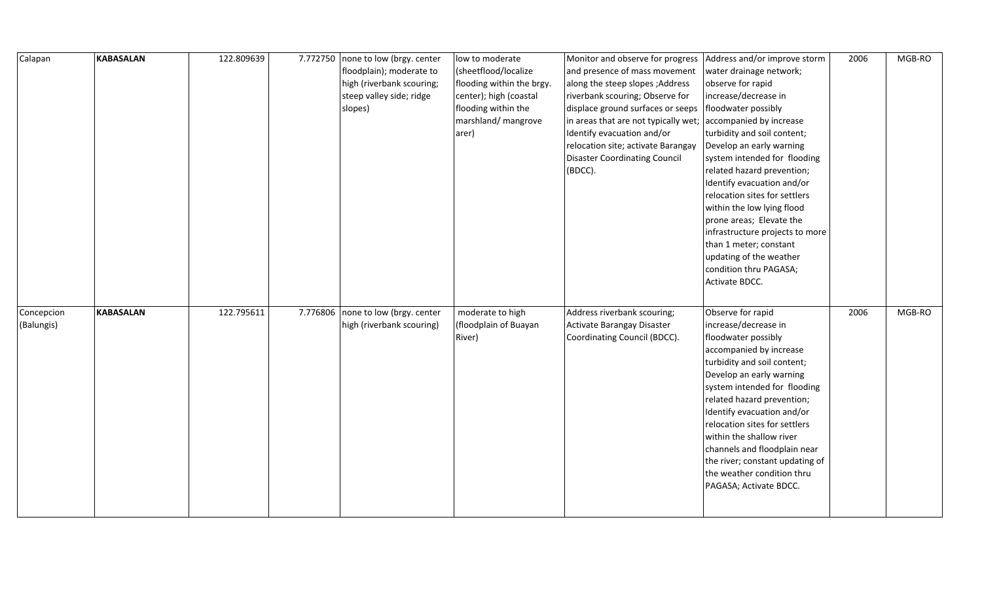| Calapan                  | <b>KABASALAN</b> | 122.809639 | 7.772750 none to low (brgy. center<br>floodplain); moderate to<br>high (riverbank scouring;<br>steep valley side; ridge<br>slopes) | low to moderate<br>(sheetflood/localize<br>flooding within the brgy.<br>center); high (coastal<br>flooding within the<br>marshland/ mangrove<br>arer) | Monitor and observe for progress<br>and presence of mass movement<br>along the steep slopes; Address<br>riverbank scouring; Observe for<br>displace ground surfaces or seeps<br>in areas that are not typically wet;<br>Identify evacuation and/or<br>relocation site; activate Barangay<br><b>Disaster Coordinating Council</b><br>(BDCC). | Address and/or improve storm<br>water drainage network;<br>observe for rapid<br>increase/decrease in<br>floodwater possibly<br>accompanied by increase<br>turbidity and soil content;<br>Develop an early warning<br>system intended for flooding<br>related hazard prevention;<br>Identify evacuation and/or<br>relocation sites for settlers<br>within the low lying flood<br>prone areas; Elevate the<br>infrastructure projects to more<br>than 1 meter; constant<br>updating of the weather<br>condition thru PAGASA; | 2006 | MGB-RO |
|--------------------------|------------------|------------|------------------------------------------------------------------------------------------------------------------------------------|-------------------------------------------------------------------------------------------------------------------------------------------------------|---------------------------------------------------------------------------------------------------------------------------------------------------------------------------------------------------------------------------------------------------------------------------------------------------------------------------------------------|----------------------------------------------------------------------------------------------------------------------------------------------------------------------------------------------------------------------------------------------------------------------------------------------------------------------------------------------------------------------------------------------------------------------------------------------------------------------------------------------------------------------------|------|--------|
| Concepcion<br>(Balungis) | <b>KABASALAN</b> | 122.795611 | 7.776806 none to low (brgy. center<br>high (riverbank scouring)                                                                    | moderate to high<br>(floodplain of Buayan<br>River)                                                                                                   | Address riverbank scouring;<br>Activate Barangay Disaster<br>Coordinating Council (BDCC).                                                                                                                                                                                                                                                   | Activate BDCC.<br>Observe for rapid<br>increase/decrease in<br>floodwater possibly<br>accompanied by increase<br>turbidity and soil content;<br>Develop an early warning<br>system intended for flooding<br>related hazard prevention;<br>Identify evacuation and/or<br>relocation sites for settlers<br>within the shallow river<br>channels and floodplain near<br>the river; constant updating of<br>the weather condition thru<br>PAGASA; Activate BDCC.                                                               | 2006 | MGB-RO |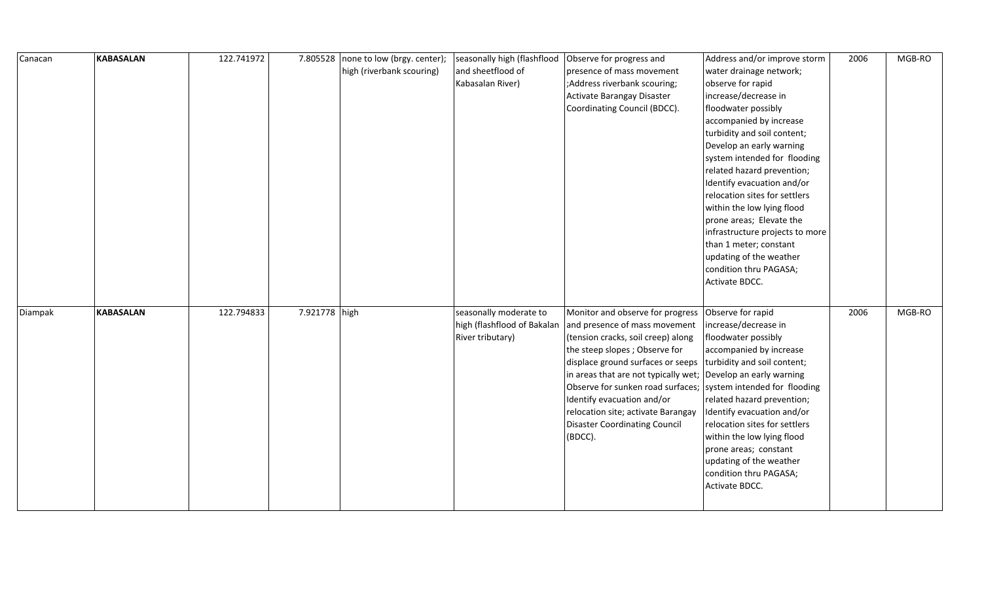| Canacan | <b>KABASALAN</b> | 122.741972 | 7.805528      | none to low (brgy. center); | seasonally high (flashflood | Observe for progress and                                         | Address and/or improve storm    | 2006 | MGB-RO |
|---------|------------------|------------|---------------|-----------------------------|-----------------------------|------------------------------------------------------------------|---------------------------------|------|--------|
|         |                  |            |               | high (riverbank scouring)   | and sheetflood of           | presence of mass movement                                        | water drainage network;         |      |        |
|         |                  |            |               |                             | Kabasalan River)            | ;Address riverbank scouring;                                     | observe for rapid               |      |        |
|         |                  |            |               |                             |                             | Activate Barangay Disaster                                       | increase/decrease in            |      |        |
|         |                  |            |               |                             |                             | Coordinating Council (BDCC).                                     | floodwater possibly             |      |        |
|         |                  |            |               |                             |                             |                                                                  | accompanied by increase         |      |        |
|         |                  |            |               |                             |                             |                                                                  | turbidity and soil content;     |      |        |
|         |                  |            |               |                             |                             |                                                                  | Develop an early warning        |      |        |
|         |                  |            |               |                             |                             |                                                                  | system intended for flooding    |      |        |
|         |                  |            |               |                             |                             |                                                                  | related hazard prevention;      |      |        |
|         |                  |            |               |                             |                             |                                                                  | Identify evacuation and/or      |      |        |
|         |                  |            |               |                             |                             |                                                                  | relocation sites for settlers   |      |        |
|         |                  |            |               |                             |                             |                                                                  | within the low lying flood      |      |        |
|         |                  |            |               |                             |                             |                                                                  | prone areas; Elevate the        |      |        |
|         |                  |            |               |                             |                             |                                                                  | infrastructure projects to more |      |        |
|         |                  |            |               |                             |                             |                                                                  | than 1 meter; constant          |      |        |
|         |                  |            |               |                             |                             |                                                                  | updating of the weather         |      |        |
|         |                  |            |               |                             |                             |                                                                  | condition thru PAGASA;          |      |        |
|         |                  |            |               |                             |                             |                                                                  | Activate BDCC.                  |      |        |
|         |                  |            |               |                             |                             |                                                                  |                                 |      |        |
| Diampak | <b>KABASALAN</b> | 122.794833 | 7.921778 high |                             | seasonally moderate to      | Monitor and observe for progress                                 | Observe for rapid               | 2006 | MGB-RO |
|         |                  |            |               |                             | high (flashflood of Bakalan | and presence of mass movement                                    | increase/decrease in            |      |        |
|         |                  |            |               |                             | River tributary)            | (tension cracks, soil creep) along                               | floodwater possibly             |      |        |
|         |                  |            |               |                             |                             | the steep slopes; Observe for                                    | accompanied by increase         |      |        |
|         |                  |            |               |                             |                             | displace ground surfaces or seeps                                | turbidity and soil content;     |      |        |
|         |                  |            |               |                             |                             | in areas that are not typically wet; Develop an early warning    |                                 |      |        |
|         |                  |            |               |                             |                             | Observe for sunken road surfaces;   system intended for flooding |                                 |      |        |
|         |                  |            |               |                             |                             | Identify evacuation and/or                                       | related hazard prevention;      |      |        |
|         |                  |            |               |                             |                             | relocation site; activate Barangay                               | Identify evacuation and/or      |      |        |
|         |                  |            |               |                             |                             | <b>Disaster Coordinating Council</b>                             | relocation sites for settlers   |      |        |
|         |                  |            |               |                             |                             | (BDCC).                                                          | within the low lying flood      |      |        |
|         |                  |            |               |                             |                             |                                                                  | prone areas; constant           |      |        |
|         |                  |            |               |                             |                             |                                                                  | updating of the weather         |      |        |
|         |                  |            |               |                             |                             |                                                                  | condition thru PAGASA;          |      |        |
|         |                  |            |               |                             |                             |                                                                  | Activate BDCC.                  |      |        |
|         |                  |            |               |                             |                             |                                                                  |                                 |      |        |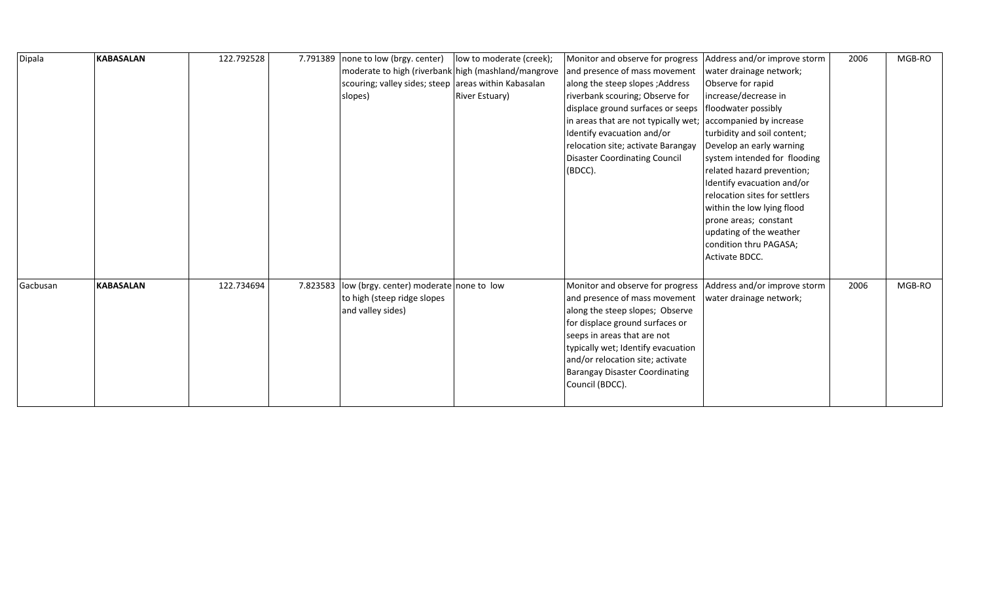| Dipala   | <b>KABASALAN</b> | 122.792528 |          | 7.791389   none to low (brgy. center)                | low to moderate (creek); | Monitor and observe for progress                             | Address and/or improve storm  | 2006 | MGB-RO |
|----------|------------------|------------|----------|------------------------------------------------------|--------------------------|--------------------------------------------------------------|-------------------------------|------|--------|
|          |                  |            |          | moderate to high (riverbank high (mashland/mangrove  |                          | and presence of mass movement                                | water drainage network;       |      |        |
|          |                  |            |          | scouring; valley sides; steep areas within Kabasalan |                          | along the steep slopes; Address                              | Observe for rapid             |      |        |
|          |                  |            |          | slopes)                                              | <b>River Estuary)</b>    | riverbank scouring; Observe for                              | increase/decrease in          |      |        |
|          |                  |            |          |                                                      |                          | displace ground surfaces or seeps                            | floodwater possibly           |      |        |
|          |                  |            |          |                                                      |                          | in areas that are not typically wet; accompanied by increase |                               |      |        |
|          |                  |            |          |                                                      |                          | Identify evacuation and/or                                   | turbidity and soil content;   |      |        |
|          |                  |            |          |                                                      |                          | relocation site; activate Barangay                           | Develop an early warning      |      |        |
|          |                  |            |          |                                                      |                          | <b>Disaster Coordinating Council</b>                         | system intended for flooding  |      |        |
|          |                  |            |          |                                                      |                          | (BDCC).                                                      | related hazard prevention;    |      |        |
|          |                  |            |          |                                                      |                          |                                                              | Identify evacuation and/or    |      |        |
|          |                  |            |          |                                                      |                          |                                                              | relocation sites for settlers |      |        |
|          |                  |            |          |                                                      |                          |                                                              | within the low lying flood    |      |        |
|          |                  |            |          |                                                      |                          |                                                              | prone areas; constant         |      |        |
|          |                  |            |          |                                                      |                          |                                                              | updating of the weather       |      |        |
|          |                  |            |          |                                                      |                          |                                                              | condition thru PAGASA;        |      |        |
|          |                  |            |          |                                                      |                          |                                                              | Activate BDCC.                |      |        |
|          |                  |            |          |                                                      |                          |                                                              |                               |      |        |
| Gacbusan | <b>KABASALAN</b> | 122.734694 | 7.823583 | low (brgy. center) moderate none to low              |                          | Monitor and observe for progress                             | Address and/or improve storm  | 2006 | MGB-RO |
|          |                  |            |          | to high (steep ridge slopes                          |                          | and presence of mass movement                                | water drainage network;       |      |        |
|          |                  |            |          | and valley sides)                                    |                          | along the steep slopes; Observe                              |                               |      |        |
|          |                  |            |          |                                                      |                          | for displace ground surfaces or                              |                               |      |        |
|          |                  |            |          |                                                      |                          | seeps in areas that are not                                  |                               |      |        |
|          |                  |            |          |                                                      |                          | typically wet; Identify evacuation                           |                               |      |        |
|          |                  |            |          |                                                      |                          | and/or relocation site; activate                             |                               |      |        |
|          |                  |            |          |                                                      |                          | <b>Barangay Disaster Coordinating</b>                        |                               |      |        |
|          |                  |            |          |                                                      |                          | Council (BDCC).                                              |                               |      |        |
|          |                  |            |          |                                                      |                          |                                                              |                               |      |        |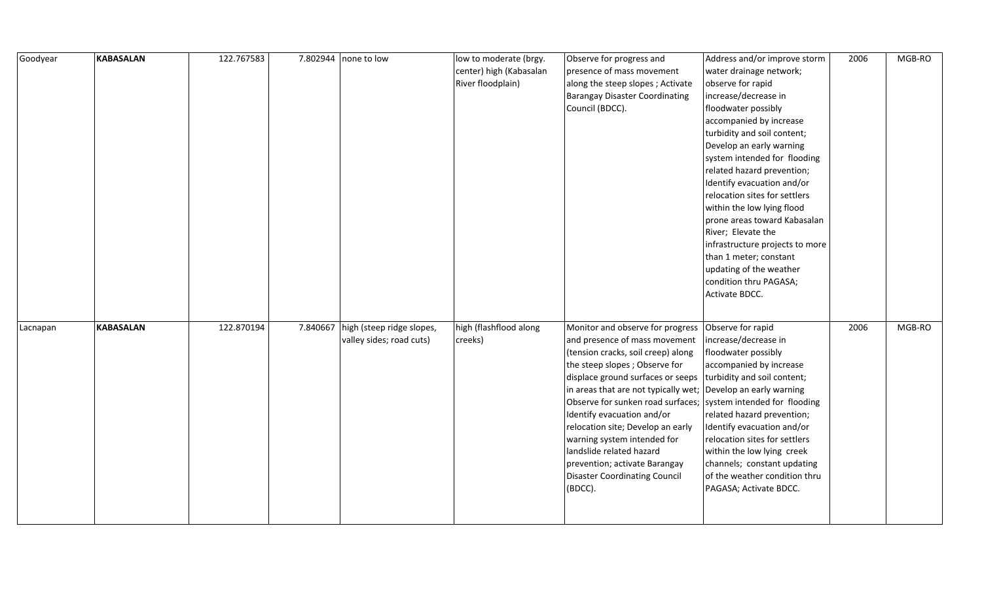| Goodyear | <b>KABASALAN</b> | 122.767583 |          | 7.802944 none to low      | low to moderate (brgy.  | Observe for progress and                                         | Address and/or improve storm    | 2006 | MGB-RO |
|----------|------------------|------------|----------|---------------------------|-------------------------|------------------------------------------------------------------|---------------------------------|------|--------|
|          |                  |            |          |                           | center) high (Kabasalan | presence of mass movement                                        | water drainage network;         |      |        |
|          |                  |            |          |                           | River floodplain)       | along the steep slopes; Activate                                 | observe for rapid               |      |        |
|          |                  |            |          |                           |                         | Barangay Disaster Coordinating                                   | increase/decrease in            |      |        |
|          |                  |            |          |                           |                         | Council (BDCC).                                                  | floodwater possibly             |      |        |
|          |                  |            |          |                           |                         |                                                                  | accompanied by increase         |      |        |
|          |                  |            |          |                           |                         |                                                                  | turbidity and soil content;     |      |        |
|          |                  |            |          |                           |                         |                                                                  | Develop an early warning        |      |        |
|          |                  |            |          |                           |                         |                                                                  | system intended for flooding    |      |        |
|          |                  |            |          |                           |                         |                                                                  | related hazard prevention;      |      |        |
|          |                  |            |          |                           |                         |                                                                  | Identify evacuation and/or      |      |        |
|          |                  |            |          |                           |                         |                                                                  | relocation sites for settlers   |      |        |
|          |                  |            |          |                           |                         |                                                                  | within the low lying flood      |      |        |
|          |                  |            |          |                           |                         |                                                                  | prone areas toward Kabasalan    |      |        |
|          |                  |            |          |                           |                         |                                                                  | River; Elevate the              |      |        |
|          |                  |            |          |                           |                         |                                                                  | infrastructure projects to more |      |        |
|          |                  |            |          |                           |                         |                                                                  | than 1 meter; constant          |      |        |
|          |                  |            |          |                           |                         |                                                                  | updating of the weather         |      |        |
|          |                  |            |          |                           |                         |                                                                  | condition thru PAGASA;          |      |        |
|          |                  |            |          |                           |                         |                                                                  | Activate BDCC.                  |      |        |
|          |                  |            |          |                           |                         |                                                                  |                                 |      |        |
| Lacnapan | <b>KABASALAN</b> | 122.870194 | 7.840667 | high (steep ridge slopes, | high (flashflood along  | Monitor and observe for progress                                 | Observe for rapid               | 2006 | MGB-RO |
|          |                  |            |          | valley sides; road cuts)  | creeks)                 | and presence of mass movement                                    | increase/decrease in            |      |        |
|          |                  |            |          |                           |                         | (tension cracks, soil creep) along                               | floodwater possibly             |      |        |
|          |                  |            |          |                           |                         | the steep slopes; Observe for                                    | accompanied by increase         |      |        |
|          |                  |            |          |                           |                         | displace ground surfaces or seeps                                | turbidity and soil content;     |      |        |
|          |                  |            |          |                           |                         | in areas that are not typically wet; Develop an early warning    |                                 |      |        |
|          |                  |            |          |                           |                         | Observe for sunken road surfaces;   system intended for flooding |                                 |      |        |
|          |                  |            |          |                           |                         | Identify evacuation and/or                                       | related hazard prevention;      |      |        |
|          |                  |            |          |                           |                         | relocation site; Develop an early                                | Identify evacuation and/or      |      |        |
|          |                  |            |          |                           |                         | warning system intended for                                      | relocation sites for settlers   |      |        |
|          |                  |            |          |                           |                         | landslide related hazard                                         | within the low lying creek      |      |        |
|          |                  |            |          |                           |                         | prevention; activate Barangay                                    | channels; constant updating     |      |        |
|          |                  |            |          |                           |                         | <b>Disaster Coordinating Council</b>                             | of the weather condition thru   |      |        |
|          |                  |            |          |                           |                         | (BDCC).                                                          | PAGASA; Activate BDCC.          |      |        |
|          |                  |            |          |                           |                         |                                                                  |                                 |      |        |
|          |                  |            |          |                           |                         |                                                                  |                                 |      |        |
|          |                  |            |          |                           |                         |                                                                  |                                 |      |        |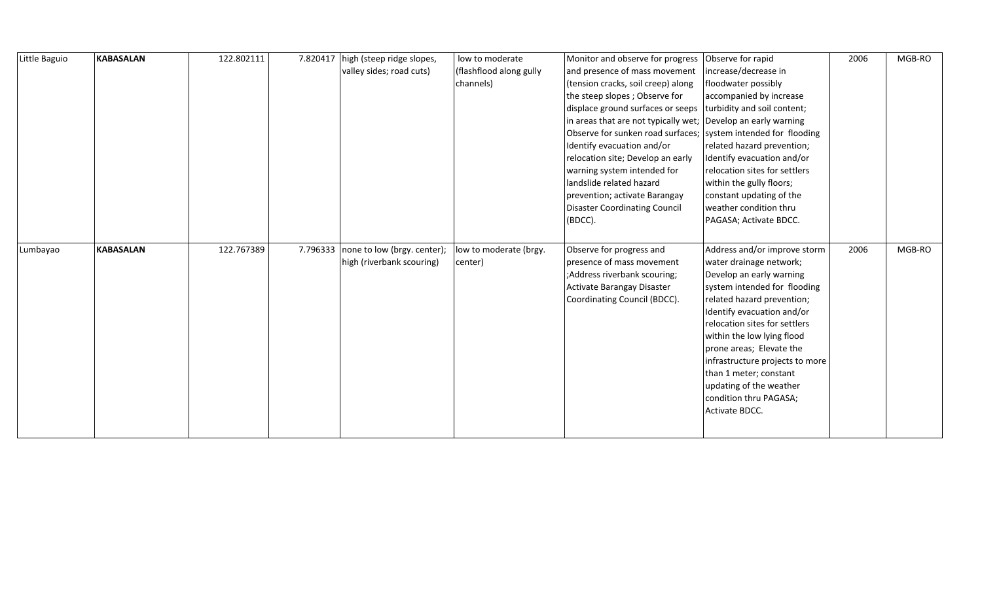| Little Baguio | <b>KABASALAN</b> | 122.802111 | 7.820417 | high (steep ridge slopes,   | low to moderate         | Monitor and observe for progress                                 | Observe for rapid               | 2006 | MGB-RO |
|---------------|------------------|------------|----------|-----------------------------|-------------------------|------------------------------------------------------------------|---------------------------------|------|--------|
|               |                  |            |          | valley sides; road cuts)    | (flashflood along gully | and presence of mass movement                                    | increase/decrease in            |      |        |
|               |                  |            |          |                             | channels)               | (tension cracks, soil creep) along                               | floodwater possibly             |      |        |
|               |                  |            |          |                             |                         | the steep slopes; Observe for                                    | accompanied by increase         |      |        |
|               |                  |            |          |                             |                         | displace ground surfaces or seeps                                | turbidity and soil content;     |      |        |
|               |                  |            |          |                             |                         | in areas that are not typically wet; Develop an early warning    |                                 |      |        |
|               |                  |            |          |                             |                         | Observe for sunken road surfaces;   system intended for flooding |                                 |      |        |
|               |                  |            |          |                             |                         | Identify evacuation and/or                                       | related hazard prevention;      |      |        |
|               |                  |            |          |                             |                         | relocation site; Develop an early                                | Identify evacuation and/or      |      |        |
|               |                  |            |          |                             |                         | warning system intended for                                      | relocation sites for settlers   |      |        |
|               |                  |            |          |                             |                         | landslide related hazard                                         | within the gully floors;        |      |        |
|               |                  |            |          |                             |                         | prevention; activate Barangay                                    | constant updating of the        |      |        |
|               |                  |            |          |                             |                         | <b>Disaster Coordinating Council</b>                             | weather condition thru          |      |        |
|               |                  |            |          |                             |                         | (BDCC).                                                          | PAGASA; Activate BDCC.          |      |        |
|               |                  |            |          |                             |                         |                                                                  |                                 |      |        |
| Lumbayao      | <b>KABASALAN</b> | 122.767389 | 7.796333 | none to low (brgy. center); | low to moderate (brgy.  | Observe for progress and                                         | Address and/or improve storm    | 2006 | MGB-RO |
|               |                  |            |          | high (riverbank scouring)   | center)                 | presence of mass movement                                        | water drainage network;         |      |        |
|               |                  |            |          |                             |                         | ;Address riverbank scouring;                                     | Develop an early warning        |      |        |
|               |                  |            |          |                             |                         | Activate Barangay Disaster                                       | system intended for flooding    |      |        |
|               |                  |            |          |                             |                         | Coordinating Council (BDCC).                                     | related hazard prevention;      |      |        |
|               |                  |            |          |                             |                         |                                                                  | Identify evacuation and/or      |      |        |
|               |                  |            |          |                             |                         |                                                                  | relocation sites for settlers   |      |        |
|               |                  |            |          |                             |                         |                                                                  | within the low lying flood      |      |        |
|               |                  |            |          |                             |                         |                                                                  | prone areas; Elevate the        |      |        |
|               |                  |            |          |                             |                         |                                                                  | infrastructure projects to more |      |        |
|               |                  |            |          |                             |                         |                                                                  | than 1 meter; constant          |      |        |
|               |                  |            |          |                             |                         |                                                                  | updating of the weather         |      |        |
|               |                  |            |          |                             |                         |                                                                  | condition thru PAGASA;          |      |        |
|               |                  |            |          |                             |                         |                                                                  |                                 |      |        |
|               |                  |            |          |                             |                         |                                                                  | Activate BDCC.                  |      |        |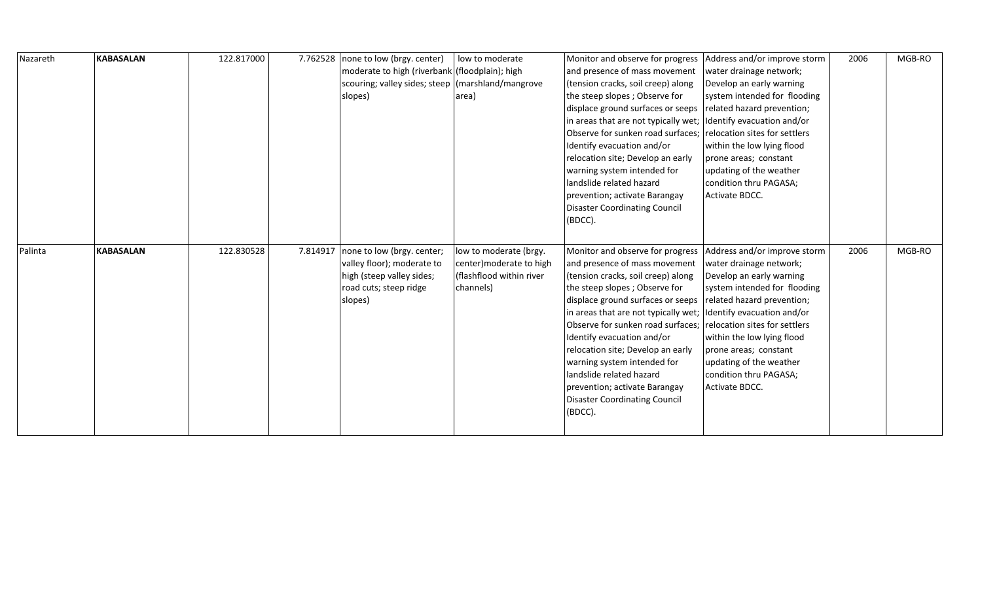| Nazareth | <b>KABASALAN</b> | 122.817000 | 7.762528 | none to low (brgy. center)<br>moderate to high (riverbank (floodplain); high<br>scouring; valley sides; steep (marshland/mangrove<br>slopes) | low to moderate<br>area)                                                                    | Monitor and observe for progress<br>and presence of mass movement<br>(tension cracks, soil creep) along<br>the steep slopes; Observe for<br>displace ground surfaces or seeps<br>in areas that are not typically wet;<br>Observe for sunken road surfaces;<br>Identify evacuation and/or<br>relocation site; Develop an early<br>warning system intended for<br>landslide related hazard<br>prevention; activate Barangay<br><b>Disaster Coordinating Council</b><br>(BDCC).                            | Address and/or improve storm<br>water drainage network;<br>Develop an early warning<br>system intended for flooding<br>related hazard prevention;<br>Identify evacuation and/or<br>relocation sites for settlers<br>within the low lying flood<br>prone areas; constant<br>updating of the weather<br>condition thru PAGASA;<br>Activate BDCC. | 2006 | MGB-RO |
|----------|------------------|------------|----------|----------------------------------------------------------------------------------------------------------------------------------------------|---------------------------------------------------------------------------------------------|---------------------------------------------------------------------------------------------------------------------------------------------------------------------------------------------------------------------------------------------------------------------------------------------------------------------------------------------------------------------------------------------------------------------------------------------------------------------------------------------------------|------------------------------------------------------------------------------------------------------------------------------------------------------------------------------------------------------------------------------------------------------------------------------------------------------------------------------------------------|------|--------|
| Palinta  | <b>KABASALAN</b> | 122.830528 | 7.814917 | none to low (brgy. center;<br>valley floor); moderate to<br>high (steep valley sides;<br>road cuts; steep ridge<br>slopes)                   | low to moderate (brgy.<br>center) moderate to high<br>(flashflood within river<br>channels) | Monitor and observe for progress<br>and presence of mass movement<br>(tension cracks, soil creep) along<br>the steep slopes; Observe for<br>displace ground surfaces or seeps<br>in areas that are not typically wet; Identify evacuation and/or<br>Observe for sunken road surfaces;<br>Identify evacuation and/or<br>relocation site; Develop an early<br>warning system intended for<br>landslide related hazard<br>prevention; activate Barangay<br><b>Disaster Coordinating Council</b><br>(BDCC). | Address and/or improve storm<br>water drainage network;<br>Develop an early warning<br>system intended for flooding<br>related hazard prevention;<br>relocation sites for settlers<br>within the low lying flood<br>prone areas; constant<br>updating of the weather<br>condition thru PAGASA;<br>Activate BDCC.                               | 2006 | MGB-RO |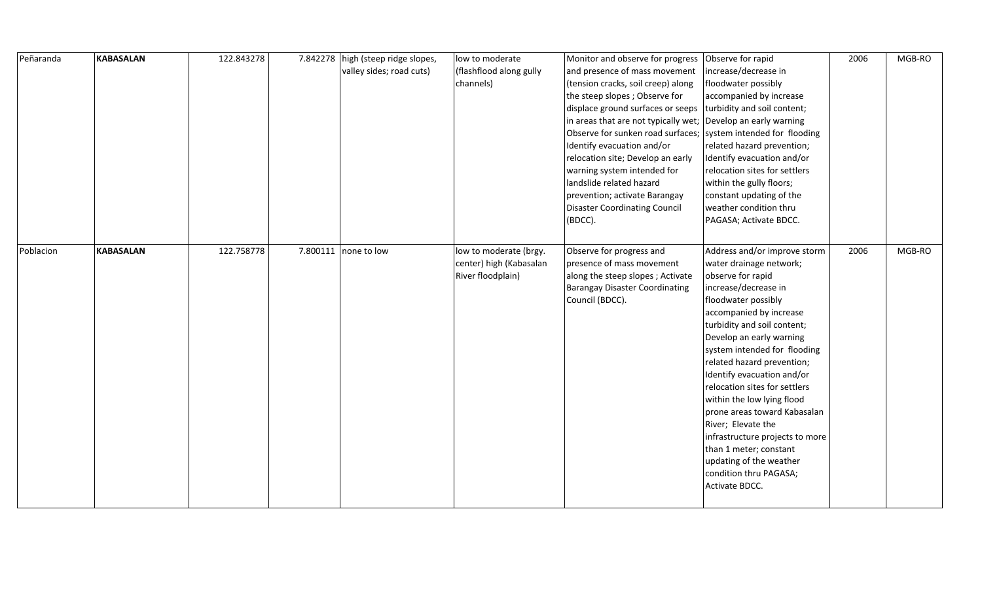| Peñaranda | <b>KABASALAN</b> | 122.843278 | 7.842278 | high (steep ridge slopes,<br>valley sides; road cuts) | low to moderate<br>(flashflood along gully<br>channels)                | Monitor and observe for progress<br>and presence of mass movement<br>(tension cracks, soil creep) along<br>the steep slopes; Observe for<br>displace ground surfaces or seeps<br>in areas that are not typically wet;<br>Observe for sunken road surfaces;<br>Identify evacuation and/or<br>relocation site; Develop an early<br>warning system intended for<br>landslide related hazard<br>prevention; activate Barangay<br><b>Disaster Coordinating Council</b><br>(BDCC). | Observe for rapid<br>increase/decrease in<br>floodwater possibly<br>accompanied by increase<br>turbidity and soil content;<br>Develop an early warning<br>system intended for flooding<br>related hazard prevention;<br>Identify evacuation and/or<br>relocation sites for settlers<br>within the gully floors;<br>constant updating of the<br>weather condition thru<br>PAGASA; Activate BDCC.                                                                                                                                                                        | 2006 | MGB-RO |
|-----------|------------------|------------|----------|-------------------------------------------------------|------------------------------------------------------------------------|------------------------------------------------------------------------------------------------------------------------------------------------------------------------------------------------------------------------------------------------------------------------------------------------------------------------------------------------------------------------------------------------------------------------------------------------------------------------------|------------------------------------------------------------------------------------------------------------------------------------------------------------------------------------------------------------------------------------------------------------------------------------------------------------------------------------------------------------------------------------------------------------------------------------------------------------------------------------------------------------------------------------------------------------------------|------|--------|
| Poblacion | <b>KABASALAN</b> | 122.758778 |          | 7.800111 none to low                                  | low to moderate (brgy.<br>center) high (Kabasalan<br>River floodplain) | Observe for progress and<br>presence of mass movement<br>along the steep slopes; Activate<br><b>Barangay Disaster Coordinating</b><br>Council (BDCC).                                                                                                                                                                                                                                                                                                                        | Address and/or improve storm<br>water drainage network;<br>observe for rapid<br>increase/decrease in<br>floodwater possibly<br>accompanied by increase<br>turbidity and soil content;<br>Develop an early warning<br>system intended for flooding<br>related hazard prevention;<br>Identify evacuation and/or<br>relocation sites for settlers<br>within the low lying flood<br>prone areas toward Kabasalan<br>River; Elevate the<br>infrastructure projects to more<br>than 1 meter; constant<br>updating of the weather<br>condition thru PAGASA;<br>Activate BDCC. | 2006 | MGB-RO |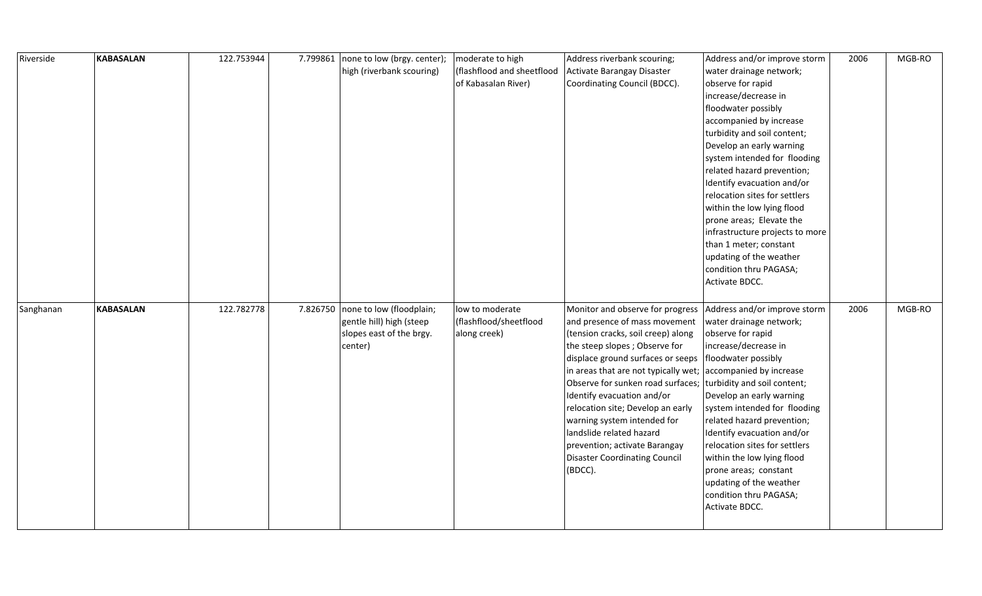| Riverside | <b>KABASALAN</b> | 122.753944 | 7.799861 | none to low (brgy. center);<br>high (riverbank scouring)                                    | moderate to high<br>(flashflood and sheetflood<br>of Kabasalan River) | Address riverbank scouring;<br>Activate Barangay Disaster<br>Coordinating Council (BDCC).                                                                                                                                                                                                                                                                                                                                                                                    | Address and/or improve storm<br>water drainage network;<br>observe for rapid<br>increase/decrease in<br>floodwater possibly<br>accompanied by increase<br>turbidity and soil content;<br>Develop an early warning<br>system intended for flooding<br>related hazard prevention;<br>Identify evacuation and/or<br>relocation sites for settlers<br>within the low lying flood<br>prone areas; Elevate the<br>infrastructure projects to more<br>than 1 meter; constant<br>updating of the weather<br>condition thru PAGASA;<br>Activate BDCC. | 2006 | MGB-RO |
|-----------|------------------|------------|----------|---------------------------------------------------------------------------------------------|-----------------------------------------------------------------------|------------------------------------------------------------------------------------------------------------------------------------------------------------------------------------------------------------------------------------------------------------------------------------------------------------------------------------------------------------------------------------------------------------------------------------------------------------------------------|----------------------------------------------------------------------------------------------------------------------------------------------------------------------------------------------------------------------------------------------------------------------------------------------------------------------------------------------------------------------------------------------------------------------------------------------------------------------------------------------------------------------------------------------|------|--------|
| Sanghanan | <b>KABASALAN</b> | 122.782778 | 7.826750 | none to low (floodplain;<br>gentle hill) high (steep<br>slopes east of the brgy.<br>center) | low to moderate<br>(flashflood/sheetflood<br>along creek)             | Monitor and observe for progress<br>and presence of mass movement<br>(tension cracks, soil creep) along<br>the steep slopes; Observe for<br>displace ground surfaces or seeps<br>in areas that are not typically wet;<br>Observe for sunken road surfaces;<br>Identify evacuation and/or<br>relocation site; Develop an early<br>warning system intended for<br>landslide related hazard<br>prevention; activate Barangay<br><b>Disaster Coordinating Council</b><br>(BDCC). | Address and/or improve storm<br>water drainage network;<br>observe for rapid<br>increase/decrease in<br>floodwater possibly<br>accompanied by increase<br>turbidity and soil content;<br>Develop an early warning<br>system intended for flooding<br>related hazard prevention;<br>Identify evacuation and/or<br>relocation sites for settlers<br>within the low lying flood<br>prone areas; constant<br>updating of the weather<br>condition thru PAGASA;<br>Activate BDCC.                                                                 | 2006 | MGB-RO |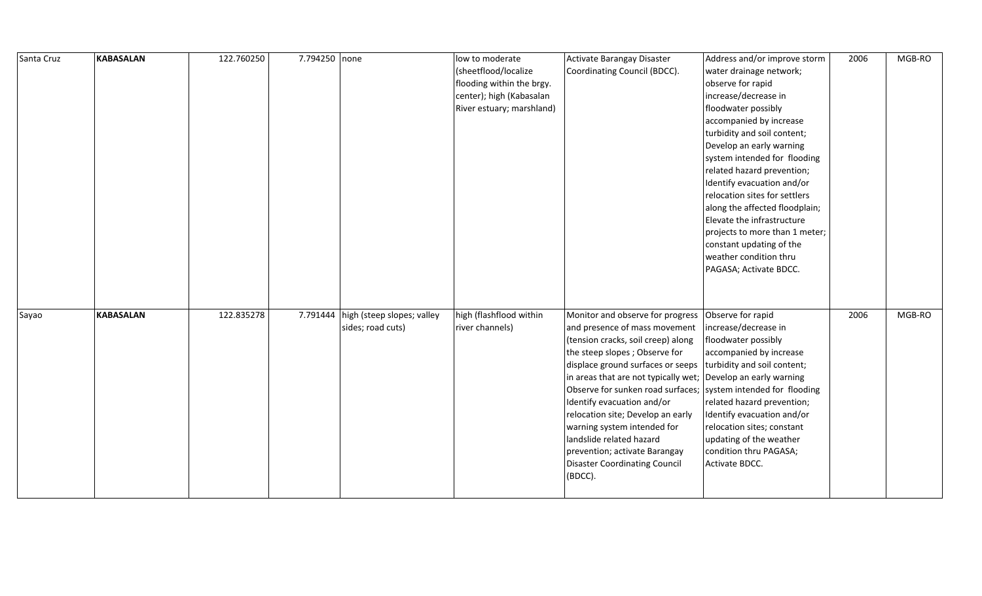| Santa Cruz | <b>KABASALAN</b> | 122.760250 | 7.794250 none |                            | low to moderate           | Activate Barangay Disaster                                       | Address and/or improve storm   | 2006 | MGB-RO |
|------------|------------------|------------|---------------|----------------------------|---------------------------|------------------------------------------------------------------|--------------------------------|------|--------|
|            |                  |            |               |                            | (sheetflood/localize      | Coordinating Council (BDCC).                                     | water drainage network;        |      |        |
|            |                  |            |               |                            | flooding within the brgy. |                                                                  | observe for rapid              |      |        |
|            |                  |            |               |                            | center); high (Kabasalan  |                                                                  | increase/decrease in           |      |        |
|            |                  |            |               |                            | River estuary; marshland) |                                                                  | floodwater possibly            |      |        |
|            |                  |            |               |                            |                           |                                                                  | accompanied by increase        |      |        |
|            |                  |            |               |                            |                           |                                                                  | turbidity and soil content;    |      |        |
|            |                  |            |               |                            |                           |                                                                  | Develop an early warning       |      |        |
|            |                  |            |               |                            |                           |                                                                  | system intended for flooding   |      |        |
|            |                  |            |               |                            |                           |                                                                  | related hazard prevention;     |      |        |
|            |                  |            |               |                            |                           |                                                                  | Identify evacuation and/or     |      |        |
|            |                  |            |               |                            |                           |                                                                  | relocation sites for settlers  |      |        |
|            |                  |            |               |                            |                           |                                                                  | along the affected floodplain; |      |        |
|            |                  |            |               |                            |                           |                                                                  | Elevate the infrastructure     |      |        |
|            |                  |            |               |                            |                           |                                                                  | projects to more than 1 meter; |      |        |
|            |                  |            |               |                            |                           |                                                                  | constant updating of the       |      |        |
|            |                  |            |               |                            |                           |                                                                  | weather condition thru         |      |        |
|            |                  |            |               |                            |                           |                                                                  | PAGASA; Activate BDCC.         |      |        |
|            |                  |            |               |                            |                           |                                                                  |                                |      |        |
|            |                  |            |               |                            |                           |                                                                  |                                |      |        |
| Sayao      | <b>KABASALAN</b> | 122.835278 | 7.791444      | high (steep slopes; valley | high (flashflood within   | Monitor and observe for progress                                 | Observe for rapid              | 2006 | MGB-RO |
|            |                  |            |               | sides; road cuts)          | river channels)           | and presence of mass movement                                    | increase/decrease in           |      |        |
|            |                  |            |               |                            |                           | (tension cracks, soil creep) along                               | floodwater possibly            |      |        |
|            |                  |            |               |                            |                           | the steep slopes; Observe for                                    | accompanied by increase        |      |        |
|            |                  |            |               |                            |                           | displace ground surfaces or seeps                                | turbidity and soil content;    |      |        |
|            |                  |            |               |                            |                           | in areas that are not typically wet; Develop an early warning    |                                |      |        |
|            |                  |            |               |                            |                           | Observe for sunken road surfaces;   system intended for flooding |                                |      |        |
|            |                  |            |               |                            |                           | Identify evacuation and/or                                       | related hazard prevention;     |      |        |
|            |                  |            |               |                            |                           | relocation site; Develop an early                                | Identify evacuation and/or     |      |        |
|            |                  |            |               |                            |                           | warning system intended for                                      | relocation sites; constant     |      |        |
|            |                  |            |               |                            |                           | landslide related hazard                                         | updating of the weather        |      |        |
|            |                  |            |               |                            |                           | prevention; activate Barangay                                    | condition thru PAGASA;         |      |        |
|            |                  |            |               |                            |                           | <b>Disaster Coordinating Council</b>                             | Activate BDCC.                 |      |        |
|            |                  |            |               |                            |                           | (BDCC).                                                          |                                |      |        |
|            |                  |            |               |                            |                           |                                                                  |                                |      |        |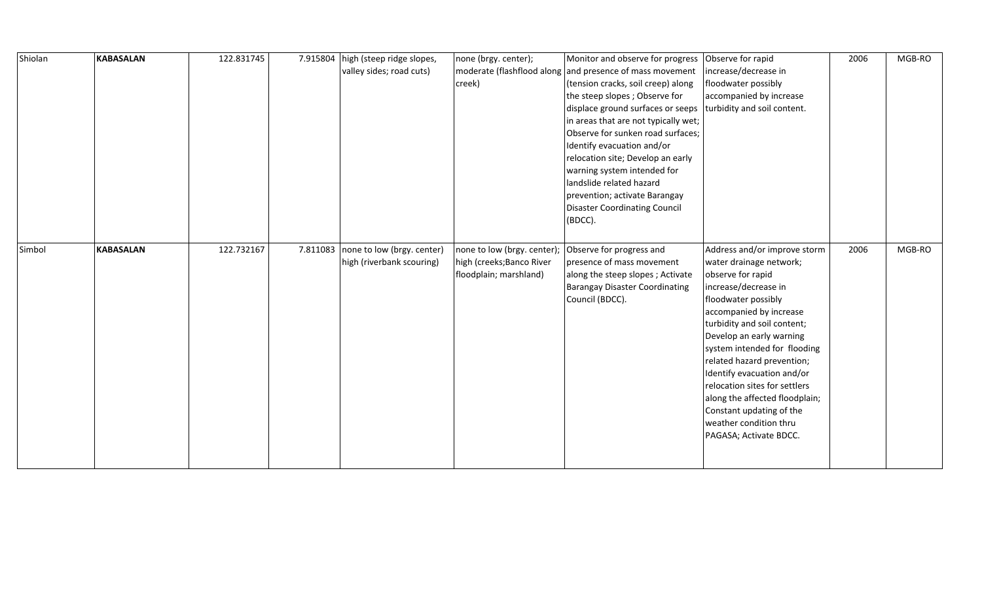| Shiolan | <b>KABASALAN</b> | 122.831745 | 7.915804 | high (steep ridge slopes,  | none (brgy. center);        | Monitor and observe for progress                         | Observe for rapid              | 2006 | MGB-RO |
|---------|------------------|------------|----------|----------------------------|-----------------------------|----------------------------------------------------------|--------------------------------|------|--------|
|         |                  |            |          | valley sides; road cuts)   |                             | moderate (flashflood along and presence of mass movement | increase/decrease in           |      |        |
|         |                  |            |          |                            | creek)                      | (tension cracks, soil creep) along                       | floodwater possibly            |      |        |
|         |                  |            |          |                            |                             | the steep slopes; Observe for                            | accompanied by increase        |      |        |
|         |                  |            |          |                            |                             | displace ground surfaces or seeps                        | turbidity and soil content.    |      |        |
|         |                  |            |          |                            |                             | in areas that are not typically wet;                     |                                |      |        |
|         |                  |            |          |                            |                             | Observe for sunken road surfaces;                        |                                |      |        |
|         |                  |            |          |                            |                             | Identify evacuation and/or                               |                                |      |        |
|         |                  |            |          |                            |                             | relocation site; Develop an early                        |                                |      |        |
|         |                  |            |          |                            |                             | warning system intended for                              |                                |      |        |
|         |                  |            |          |                            |                             | landslide related hazard                                 |                                |      |        |
|         |                  |            |          |                            |                             | prevention; activate Barangay                            |                                |      |        |
|         |                  |            |          |                            |                             | Disaster Coordinating Council                            |                                |      |        |
|         |                  |            |          |                            |                             | (BDCC).                                                  |                                |      |        |
|         |                  |            |          |                            |                             |                                                          |                                |      |        |
| Simbol  | <b>KABASALAN</b> | 122.732167 | 7.811083 | none to low (brgy. center) | none to low (brgy. center); | Observe for progress and                                 | Address and/or improve storm   | 2006 | MGB-RO |
|         |                  |            |          | high (riverbank scouring)  | high (creeks; Banco River   | presence of mass movement                                | water drainage network;        |      |        |
|         |                  |            |          |                            | floodplain; marshland)      | along the steep slopes; Activate                         | observe for rapid              |      |        |
|         |                  |            |          |                            |                             | <b>Barangay Disaster Coordinating</b>                    | increase/decrease in           |      |        |
|         |                  |            |          |                            |                             | Council (BDCC).                                          | floodwater possibly            |      |        |
|         |                  |            |          |                            |                             |                                                          | accompanied by increase        |      |        |
|         |                  |            |          |                            |                             |                                                          | turbidity and soil content;    |      |        |
|         |                  |            |          |                            |                             |                                                          | Develop an early warning       |      |        |
|         |                  |            |          |                            |                             |                                                          | system intended for flooding   |      |        |
|         |                  |            |          |                            |                             |                                                          | related hazard prevention;     |      |        |
|         |                  |            |          |                            |                             |                                                          | Identify evacuation and/or     |      |        |
|         |                  |            |          |                            |                             |                                                          | relocation sites for settlers  |      |        |
|         |                  |            |          |                            |                             |                                                          | along the affected floodplain; |      |        |
|         |                  |            |          |                            |                             |                                                          | Constant updating of the       |      |        |
|         |                  |            |          |                            |                             |                                                          | weather condition thru         |      |        |
|         |                  |            |          |                            |                             |                                                          | PAGASA; Activate BDCC.         |      |        |
|         |                  |            |          |                            |                             |                                                          |                                |      |        |
|         |                  |            |          |                            |                             |                                                          |                                |      |        |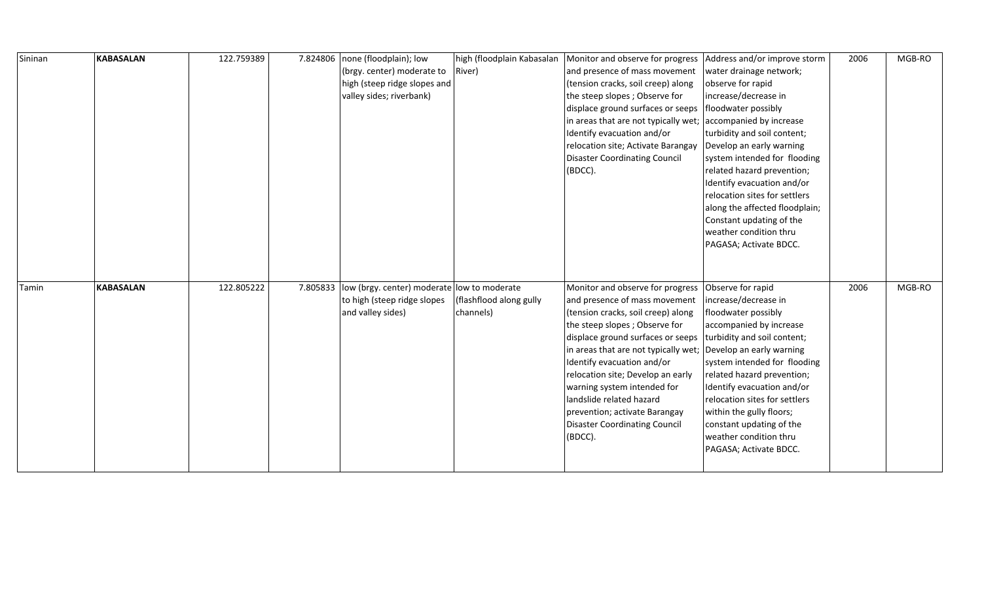| Sininan | <b>KABASALAN</b> | 122.759389 |          | 7.824806   none (floodplain); low<br>(brgy. center) moderate to<br>high (steep ridge slopes and<br>valley sides; riverbank) | high (floodplain Kabasalan<br>River) | Monitor and observe for progress<br>and presence of mass movement<br>(tension cracks, soil creep) along<br>the steep slopes; Observe for<br>displace ground surfaces or seeps<br>in areas that are not typically wet;<br>Identify evacuation and/or<br>relocation site; Activate Barangay<br><b>Disaster Coordinating Council</b><br>(BDCC).                                                                                            | Address and/or improve storm<br>water drainage network;<br>observe for rapid<br>increase/decrease in<br>floodwater possibly<br>accompanied by increase<br>turbidity and soil content;<br>Develop an early warning<br>system intended for flooding<br>related hazard prevention;<br>Identify evacuation and/or<br>relocation sites for settlers<br>along the affected floodplain;<br>Constant updating of the<br>weather condition thru<br>PAGASA; Activate BDCC. | 2006 | MGB-RO |
|---------|------------------|------------|----------|-----------------------------------------------------------------------------------------------------------------------------|--------------------------------------|-----------------------------------------------------------------------------------------------------------------------------------------------------------------------------------------------------------------------------------------------------------------------------------------------------------------------------------------------------------------------------------------------------------------------------------------|------------------------------------------------------------------------------------------------------------------------------------------------------------------------------------------------------------------------------------------------------------------------------------------------------------------------------------------------------------------------------------------------------------------------------------------------------------------|------|--------|
| Tamin   | <b>KABASALAN</b> | 122.805222 | 7.805833 | low (brgy. center) moderate low to moderate<br>to high (steep ridge slopes<br>and valley sides)                             | (flashflood along gully<br>channels) | Monitor and observe for progress<br>and presence of mass movement<br>(tension cracks, soil creep) along<br>the steep slopes; Observe for<br>displace ground surfaces or seeps<br>in areas that are not typically wet;<br>Identify evacuation and/or<br>relocation site; Develop an early<br>warning system intended for<br>landslide related hazard<br>prevention; activate Barangay<br><b>Disaster Coordinating Council</b><br>(BDCC). | Observe for rapid<br>increase/decrease in<br>floodwater possibly<br>accompanied by increase<br>turbidity and soil content;<br>Develop an early warning<br>system intended for flooding<br>related hazard prevention;<br>Identify evacuation and/or<br>relocation sites for settlers<br>within the gully floors;<br>constant updating of the<br>weather condition thru<br>PAGASA; Activate BDCC.                                                                  | 2006 | MGB-RO |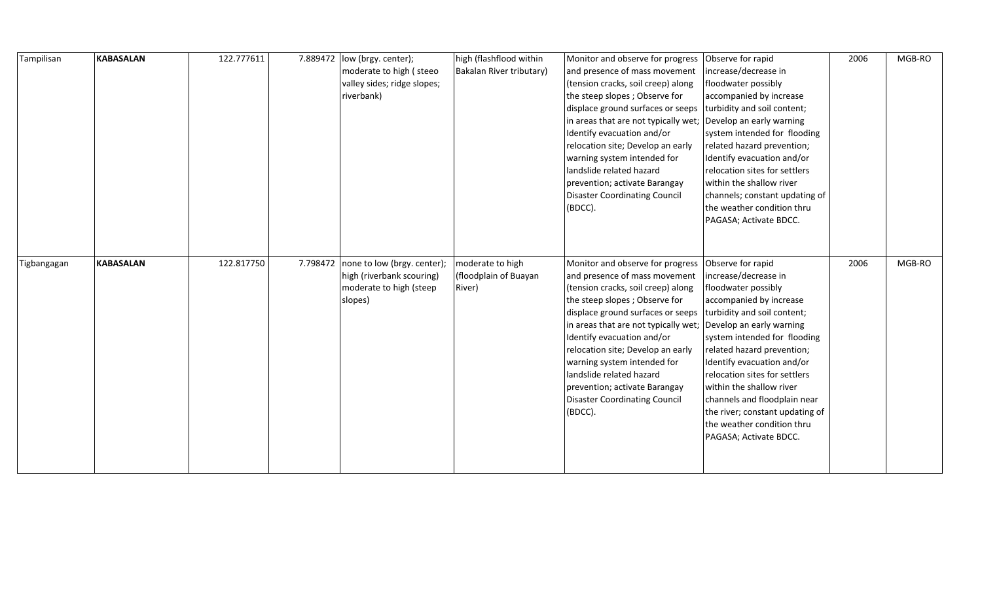| Tampilisan  | <b>KABASALAN</b> | 122.777611 | 7.889472 | low (brgy. center);<br>moderate to high (steeo<br>valley sides; ridge slopes;<br>riverbank)    | high (flashflood within<br>Bakalan River tributary) | Monitor and observe for progress Observe for rapid<br>and presence of mass movement<br>(tension cracks, soil creep) along<br>the steep slopes; Observe for<br>displace ground surfaces or seeps<br>in areas that are not typically wet;<br>Identify evacuation and/or<br>relocation site; Develop an early<br>warning system intended for<br>landslide related hazard<br>prevention; activate Barangay<br><b>Disaster Coordinating Council</b><br>(BDCC).                   | increase/decrease in<br>floodwater possibly<br>accompanied by increase<br>turbidity and soil content;<br>Develop an early warning<br>system intended for flooding<br>related hazard prevention;<br>Identify evacuation and/or<br>relocation sites for settlers<br>within the shallow river<br>channels; constant updating of<br>the weather condition thru<br>PAGASA; Activate BDCC.      | 2006 | MGB-RO |
|-------------|------------------|------------|----------|------------------------------------------------------------------------------------------------|-----------------------------------------------------|-----------------------------------------------------------------------------------------------------------------------------------------------------------------------------------------------------------------------------------------------------------------------------------------------------------------------------------------------------------------------------------------------------------------------------------------------------------------------------|-------------------------------------------------------------------------------------------------------------------------------------------------------------------------------------------------------------------------------------------------------------------------------------------------------------------------------------------------------------------------------------------|------|--------|
| Tigbangagan | <b>KABASALAN</b> | 122.817750 | 7.798472 | none to low (brgy. center);<br>high (riverbank scouring)<br>moderate to high (steep<br>slopes) | moderate to high<br>(floodplain of Buayan<br>River) | Monitor and observe for progress Observe for rapid<br>and presence of mass movement<br>(tension cracks, soil creep) along<br>the steep slopes; Observe for<br>displace ground surfaces or seeps<br>in areas that are not typically wet; Develop an early warning<br>Identify evacuation and/or<br>relocation site; Develop an early<br>warning system intended for<br>landslide related hazard<br>prevention; activate Barangay<br>Disaster Coordinating Council<br>(BDCC). | increase/decrease in<br>floodwater possibly<br>accompanied by increase<br>turbidity and soil content;<br>system intended for flooding<br>related hazard prevention;<br>Identify evacuation and/or<br>relocation sites for settlers<br>within the shallow river<br>channels and floodplain near<br>the river; constant updating of<br>the weather condition thru<br>PAGASA; Activate BDCC. | 2006 | MGB-RO |